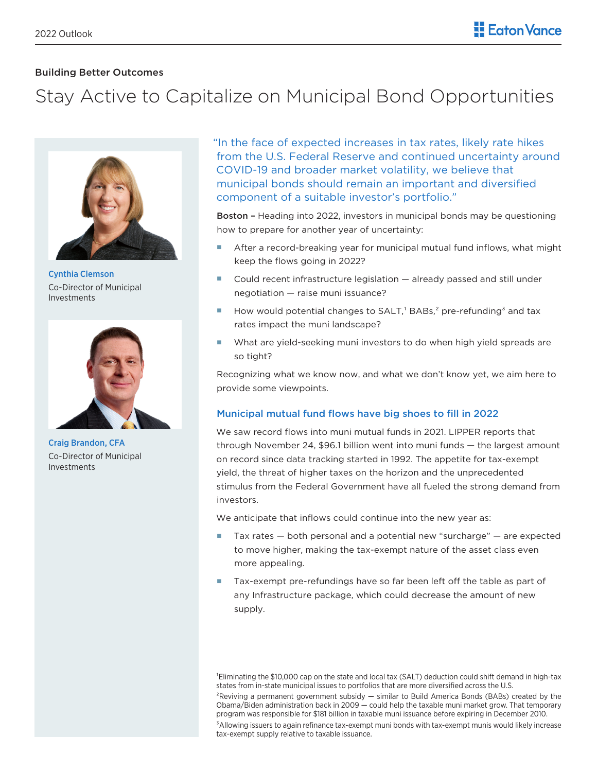# Building Better Outcomes

# Stay Active to Capitalize on Municipal Bond Opportunities



Cynthia Clemson Co-Director of Municipal Investments



Craig Brandon, CFA Co-Director of Municipal Investments

"In the face of expected increases in tax rates, likely rate hikes from the U.S. Federal Reserve and continued uncertainty around COVID-19 and broader market volatility, we believe that municipal bonds should remain an important and diversified component of a suitable investor's portfolio."

Boston – Heading into 2022, investors in municipal bonds may be questioning how to prepare for another year of uncertainty:

- After a record-breaking year for municipal mutual fund inflows, what might keep the flows going in 2022?
- Could recent infrastructure legislation already passed and still under negotiation — raise muni issuance?
- How would potential changes to  $SALT$ <sup>1</sup> BABs,<sup>2</sup> pre-refunding<sup>3</sup> and tax rates impact the muni landscape?
- What are yield-seeking muni investors to do when high yield spreads are so tight?

Recognizing what we know now, and what we don't know yet, we aim here to provide some viewpoints.

## Municipal mutual fund flows have big shoes to fill in 2022

We saw record flows into muni mutual funds in 2021. LIPPER reports that through November 24, \$96.1 billion went into muni funds — the largest amount on record since data tracking started in 1992. The appetite for tax-exempt yield, the threat of higher taxes on the horizon and the unprecedented stimulus from the Federal Government have all fueled the strong demand from investors.

We anticipate that inflows could continue into the new year as:

- $\blacksquare$  Tax rates  $-$  both personal and a potential new "surcharge"  $-$  are expected to move higher, making the tax-exempt nature of the asset class even more appealing.
- Tax-exempt pre-refundings have so far been left off the table as part of any Infrastructure package, which could decrease the amount of new supply.

<sup>1</sup>Eliminating the \$10,000 cap on the state and local tax (SALT) deduction could shift demand in high-tax states from in-state municipal issues to portfolios that are more diversified across the U.S.

 ${}^{2}$ Reviving a permanent government subsidy  $-$  similar to Build America Bonds (BABs) created by the Obama/Biden administration back in 2009 — could help the taxable muni market grow. That temporary program was responsible for \$181 billion in taxable muni issuance before expiring in December 2010. <sup>3</sup>Allowing issuers to again refinance tax-exempt muni bonds with tax-exempt munis would likely increase tax-exempt supply relative to taxable issuance.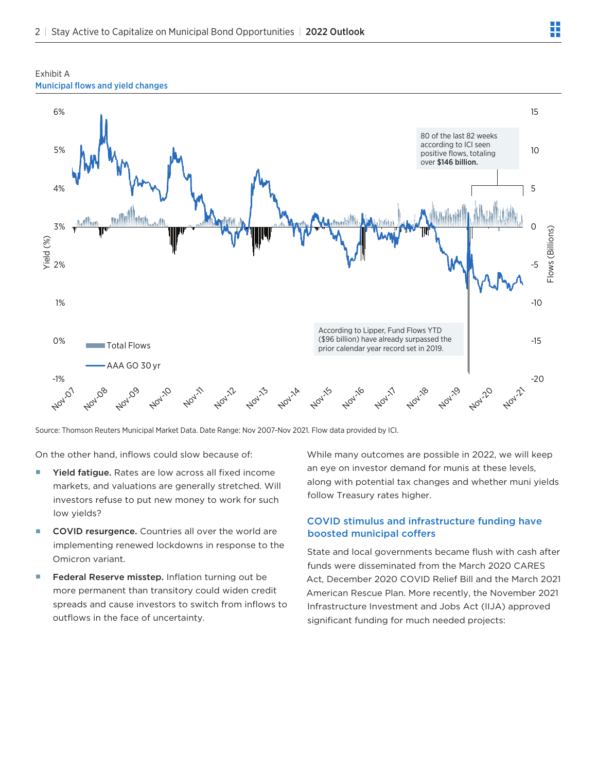



Source: Thomson Reuters Municipal Market Data. Date Range: Nov 2007-Nov 2021. Flow data provided by ICI.

On the other hand, inflows could slow because of:

- Yield fatigue. Rates are low across all fixed income markets, and valuations are generally stretched. Will investors refuse to put new money to work for such low yields?
- COVID resurgence. Countries all over the world are implementing renewed lockdowns in response to the Omicron variant.
- Federal Reserve misstep. Inflation turning out be more permanent than transitory could widen credit spreads and cause investors to switch from inflows to outflows in the face of uncertainty.

While many outcomes are possible in 2022, we will keep an eye on investor demand for munis at these levels, along with potential tax changes and whether muni yields follow Treasury rates higher.

## COVID stimulus and infrastructure funding have boosted municipal coffers

State and local governments became flush with cash after funds were disseminated from the March 2020 CARES Act, December 2020 COVID Relief Bill and the March 2021 American Rescue Plan. More recently, the November 2021 Infrastructure Investment and Jobs Act (IIJA) approved significant funding for much needed projects: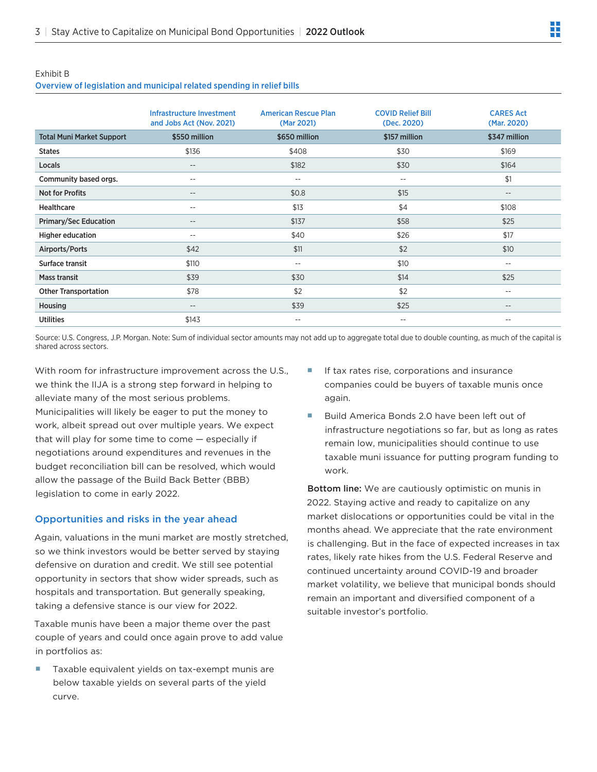### Exhibit B

## Overview of legislation and municipal related spending in relief bills

|                                  | Infrastructure Investment<br>and Jobs Act (Nov. 2021) | <b>American Rescue Plan</b><br>(Mar 2021) | <b>COVID Relief Bill</b><br>(Dec. 2020) | <b>CARES Act</b><br>(Mar. 2020) |
|----------------------------------|-------------------------------------------------------|-------------------------------------------|-----------------------------------------|---------------------------------|
| <b>Total Muni Market Support</b> | \$550 million                                         | \$650 million                             | \$157 million                           | \$347 million                   |
| <b>States</b>                    | \$136                                                 | \$408                                     | \$30                                    | \$169                           |
| Locals                           | $\qquad \qquad -$                                     | \$182                                     | \$30                                    | \$164                           |
| Community based orgs.            | $- -$                                                 | $- -$                                     | $- -$                                   | \$1                             |
| <b>Not for Profits</b>           | $\overline{\phantom{m}}$                              | \$0.8                                     | \$15                                    | $-\,-$                          |
| <b>Healthcare</b>                | --                                                    | \$13                                      | \$4                                     | \$108                           |
| <b>Primary/Sec Education</b>     | $\qquad \qquad -$                                     | \$137                                     | \$58                                    | \$25                            |
| <b>Higher education</b>          | $\overline{\phantom{m}}$                              | \$40                                      | \$26                                    | \$17                            |
| Airports/Ports                   | \$42                                                  | \$11                                      | \$2                                     | \$10                            |
| Surface transit                  | \$110                                                 | $\overline{\phantom{m}}$                  | \$10                                    | $-\,-$                          |
| <b>Mass transit</b>              | \$39                                                  | \$30                                      | \$14                                    | \$25                            |
| <b>Other Transportation</b>      | \$78                                                  | \$2                                       | \$2                                     | $- -$                           |
| Housing                          | $-\,-$                                                | \$39                                      | \$25                                    | $-\,-$                          |
| <b>Utilities</b>                 | \$143                                                 | $- -$                                     | $- -$                                   | $ -$                            |

Source: U.S. Congress, J.P. Morgan. Note: Sum of individual sector amounts may not add up to aggregate total due to double counting, as much of the capital is shared across sectors.

With room for infrastructure improvement across the U.S., we think the IIJA is a strong step forward in helping to alleviate many of the most serious problems.

Municipalities will likely be eager to put the money to work, albeit spread out over multiple years. We expect that will play for some time to come — especially if negotiations around expenditures and revenues in the budget reconciliation bill can be resolved, which would allow the passage of the Build Back Better (BBB) legislation to come in early 2022.

## Opportunities and risks in the year ahead

Again, valuations in the muni market are mostly stretched, so we think investors would be better served by staying defensive on duration and credit. We still see potential opportunity in sectors that show wider spreads, such as hospitals and transportation. But generally speaking, taking a defensive stance is our view for 2022.

Taxable munis have been a major theme over the past couple of years and could once again prove to add value in portfolios as:

 Taxable equivalent yields on tax-exempt munis are below taxable yields on several parts of the yield curve.

- If tax rates rise, corporations and insurance companies could be buyers of taxable munis once again.
- Build America Bonds 2.0 have been left out of infrastructure negotiations so far, but as long as rates remain low, municipalities should continue to use taxable muni issuance for putting program funding to work.

Bottom line: We are cautiously optimistic on munis in 2022. Staying active and ready to capitalize on any market dislocations or opportunities could be vital in the months ahead. We appreciate that the rate environment is challenging. But in the face of expected increases in tax rates, likely rate hikes from the U.S. Federal Reserve and continued uncertainty around COVID-19 and broader market volatility, we believe that municipal bonds should remain an important and diversified component of a suitable investor's portfolio.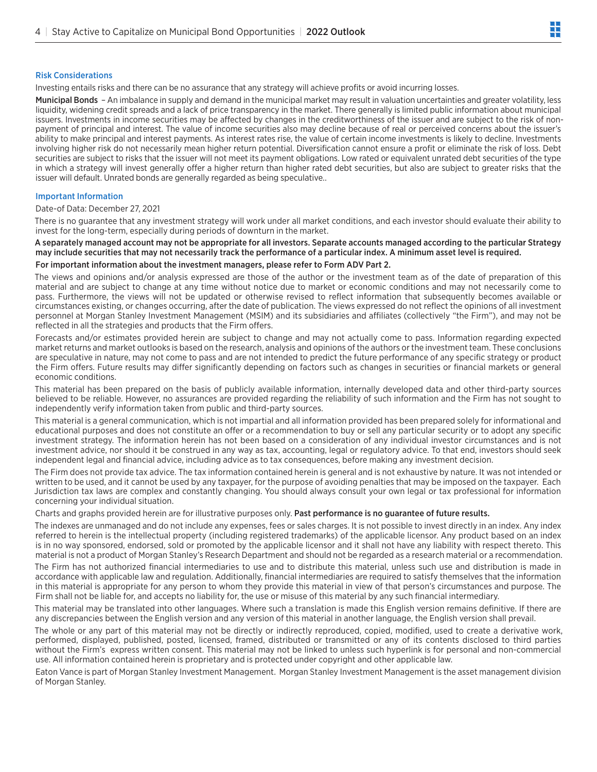## Risk Considerations

Investing entails risks and there can be no assurance that any strategy will achieve profits or avoid incurring losses.

Municipal Bonds – An imbalance in supply and demand in the municipal market may result in valuation uncertainties and greater volatility, less liquidity, widening credit spreads and a lack of price transparency in the market. There generally is limited public information about municipal issuers. Investments in income securities may be affected by changes in the creditworthiness of the issuer and are subject to the risk of nonpayment of principal and interest. The value of income securities also may decline because of real or perceived concerns about the issuer's ability to make principal and interest payments. As interest rates rise, the value of certain income investments is likely to decline. Investments involving higher risk do not necessarily mean higher return potential. Diversification cannot ensure a profit or eliminate the risk of loss. Debt securities are subject to risks that the issuer will not meet its payment obligations. Low rated or equivalent unrated debt securities of the type in which a strategy will invest generally offer a higher return than higher rated debt securities, but also are subject to greater risks that the issuer will default. Unrated bonds are generally regarded as being speculative..

## Important Information

### Date-of Data: December 27, 2021

There is no guarantee that any investment strategy will work under all market conditions, and each investor should evaluate their ability to invest for the long-term, especially during periods of downturn in the market.

A separately managed account may not be appropriate for all investors. Separate accounts managed according to the particular Strategy may include securities that may not necessarily track the performance of a particular index. A minimum asset level is required. For important information about the investment managers, please refer to Form ADV Part 2.

The views and opinions and/or analysis expressed are those of the author or the investment team as of the date of preparation of this material and are subject to change at any time without notice due to market or economic conditions and may not necessarily come to pass. Furthermore, the views will not be updated or otherwise revised to reflect information that subsequently becomes available or circumstances existing, or changes occurring, after the date of publication. The views expressed do not reflect the opinions of all investment personnel at Morgan Stanley Investment Management (MSIM) and its subsidiaries and affiliates (collectively "the Firm"), and may not be reflected in all the strategies and products that the Firm offers.

Forecasts and/or estimates provided herein are subject to change and may not actually come to pass. Information regarding expected market returns and market outlooks is based on the research, analysis and opinions of the authors or the investment team. These conclusions are speculative in nature, may not come to pass and are not intended to predict the future performance of any specific strategy or product the Firm offers. Future results may differ significantly depending on factors such as changes in securities or financial markets or general economic conditions.

This material has been prepared on the basis of publicly available information, internally developed data and other third-party sources believed to be reliable. However, no assurances are provided regarding the reliability of such information and the Firm has not sought to independently verify information taken from public and third-party sources.

This material is a general communication, which is not impartial and all information provided has been prepared solely for informational and educational purposes and does not constitute an offer or a recommendation to buy or sell any particular security or to adopt any specific investment strategy. The information herein has not been based on a consideration of any individual investor circumstances and is not investment advice, nor should it be construed in any way as tax, accounting, legal or regulatory advice. To that end, investors should seek independent legal and financial advice, including advice as to tax consequences, before making any investment decision.

The Firm does not provide tax advice. The tax information contained herein is general and is not exhaustive by nature. It was not intended or written to be used, and it cannot be used by any taxpayer, for the purpose of avoiding penalties that may be imposed on the taxpayer. Each Jurisdiction tax laws are complex and constantly changing. You should always consult your own legal or tax professional for information concerning your individual situation.

Charts and graphs provided herein are for illustrative purposes only. Past performance is no guarantee of future results.

The indexes are unmanaged and do not include any expenses, fees or sales charges. It is not possible to invest directly in an index. Any index referred to herein is the intellectual property (including registered trademarks) of the applicable licensor. Any product based on an index is in no way sponsored, endorsed, sold or promoted by the applicable licensor and it shall not have any liability with respect thereto. This material is not a product of Morgan Stanley's Research Department and should not be regarded as a research material or a recommendation.

The Firm has not authorized financial intermediaries to use and to distribute this material, unless such use and distribution is made in accordance with applicable law and regulation. Additionally, financial intermediaries are required to satisfy themselves that the information in this material is appropriate for any person to whom they provide this material in view of that person's circumstances and purpose. The Firm shall not be liable for, and accepts no liability for, the use or misuse of this material by any such financial intermediary.

This material may be translated into other languages. Where such a translation is made this English version remains definitive. If there are any discrepancies between the English version and any version of this material in another language, the English version shall prevail.

The whole or any part of this material may not be directly or indirectly reproduced, copied, modified, used to create a derivative work, performed, displayed, published, posted, licensed, framed, distributed or transmitted or any of its contents disclosed to third parties without the Firm's express written consent. This material may not be linked to unless such hyperlink is for personal and non-commercial use. All information contained herein is proprietary and is protected under copyright and other applicable law.

Eaton Vance is part of Morgan Stanley Investment Management. Morgan Stanley Investment Management is the asset management division of Morgan Stanley.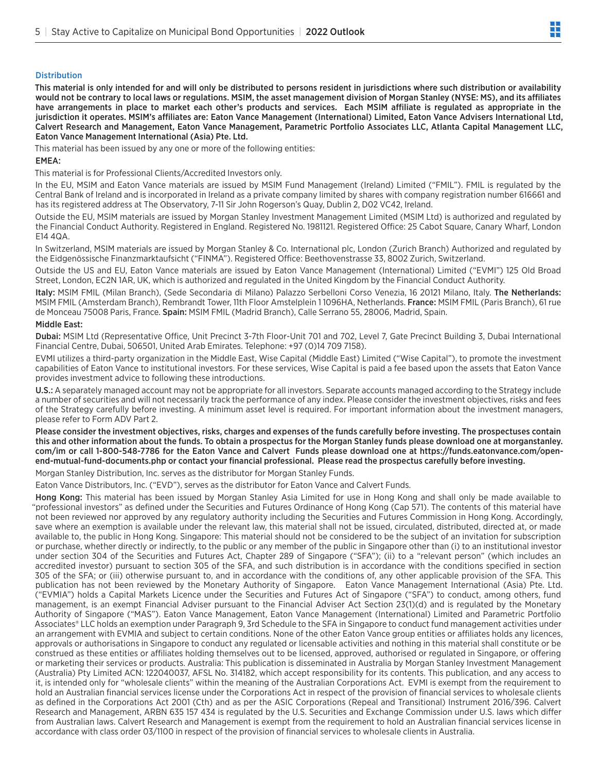## **Distribution**

This material is only intended for and will only be distributed to persons resident in jurisdictions where such distribution or availability would not be contrary to local laws or regulations. MSIM, the asset management division of Morgan Stanley (NYSE: MS), and its affiliates have arrangements in place to market each other's products and services. Each MSIM affiliate is regulated as appropriate in the jurisdiction it operates. MSIM's affiliates are: Eaton Vance Management (International) Limited, Eaton Vance Advisers International Ltd, Calvert Research and Management, Eaton Vance Management, Parametric Portfolio Associates LLC, Atlanta Capital Management LLC, Eaton Vance Management International (Asia) Pte. Ltd.

This material has been issued by any one or more of the following entities:

## EMEA:

This material is for Professional Clients/Accredited Investors only.

In the EU, MSIM and Eaton Vance materials are issued by MSIM Fund Management (Ireland) Limited ("FMIL"). FMIL is regulated by the Central Bank of Ireland and is incorporated in Ireland as a private company limited by shares with company registration number 616661 and has its registered address at The Observatory, 7-11 Sir John Rogerson's Quay, Dublin 2, D02 VC42, Ireland.

Outside the EU, MSIM materials are issued by Morgan Stanley Investment Management Limited (MSIM Ltd) is authorized and regulated by the Financial Conduct Authority. Registered in England. Registered No. 1981121. Registered Office: 25 Cabot Square, Canary Wharf, London E14 4QA.

In Switzerland, MSIM materials are issued by Morgan Stanley & Co. International plc, London (Zurich Branch) Authorized and regulated by the Eidgenössische Finanzmarktaufsicht ("FINMA"). Registered Office: Beethovenstrasse 33, 8002 Zurich, Switzerland.

Outside the US and EU, Eaton Vance materials are issued by Eaton Vance Management (International) Limited ("EVMI") 125 Old Broad Street, London, EC2N 1AR, UK, which is authorized and regulated in the United Kingdom by the Financial Conduct Authority.

Italy: MSIM FMIL (Milan Branch), (Sede Secondaria di Milano) Palazzo Serbelloni Corso Venezia, 16 20121 Milano, Italy. The Netherlands: MSIM FMIL (Amsterdam Branch), Rembrandt Tower, 11th Floor Amstelplein 11096HA, Netherlands. France: MSIM FMIL (Paris Branch), 61 rue de Monceau 75008 Paris, France. Spain: MSIM FMIL (Madrid Branch), Calle Serrano 55, 28006, Madrid, Spain.

### Middle East:

Dubai: MSIM Ltd (Representative Office, Unit Precinct 3-7th Floor-Unit 701 and 702, Level 7, Gate Precinct Building 3, Dubai International Financial Centre, Dubai, 506501, United Arab Emirates. Telephone: +97 (0)14 709 7158).

EVMI utilizes a third-party organization in the Middle East, Wise Capital (Middle East) Limited ("Wise Capital"), to promote the investment capabilities of Eaton Vance to institutional investors. For these services, Wise Capital is paid a fee based upon the assets that Eaton Vance provides investment advice to following these introductions.

U.S.: A separately managed account may not be appropriate for all investors. Separate accounts managed according to the Strategy include a number of securities and will not necessarily track the performance of any index. Please consider the investment objectives, risks and fees of the Strategy carefully before investing. A minimum asset level is required. For important information about the investment managers, please refer to Form ADV Part 2.

Please consider the investment objectives, risks, charges and expenses of the funds carefully before investing. The prospectuses contain this and other information about the funds. To obtain a prospectus for the Morgan Stanley funds please download one at morganstanley. com/im or call 1-800-548-7786 for the Eaton Vance and Calvert Funds please download one at https://funds.eatonvance.com/openend-mutual-fund-documents.php or contact your financial professional. Please read the prospectus carefully before investing.

Morgan Stanley Distribution, Inc. serves as the distributor for Morgan Stanley Funds.

Eaton Vance Distributors, Inc. ("EVD"), serves as the distributor for Eaton Vance and Calvert Funds.

Hong Kong: This material has been issued by Morgan Stanley Asia Limited for use in Hong Kong and shall only be made available to "professional investors" as defined under the Securities and Futures Ordinance of Hong Kong (Cap 571). The contents of this material have not been reviewed nor approved by any regulatory authority including the Securities and Futures Commission in Hong Kong. Accordingly, save where an exemption is available under the relevant law, this material shall not be issued, circulated, distributed, directed at, or made available to, the public in Hong Kong. Singapore: This material should not be considered to be the subject of an invitation for subscription or purchase, whether directly or indirectly, to the public or any member of the public in Singapore other than (i) to an institutional investor under section 304 of the Securities and Futures Act, Chapter 289 of Singapore ("SFA"); (ii) to a "relevant person" (which includes an accredited investor) pursuant to section 305 of the SFA, and such distribution is in accordance with the conditions specified in section 305 of the SFA; or (iii) otherwise pursuant to, and in accordance with the conditions of, any other applicable provision of the SFA. This publication has not been reviewed by the Monetary Authority of Singapore. Eaton Vance Management International (Asia) Pte. Ltd. ("EVMIA") holds a Capital Markets Licence under the Securities and Futures Act of Singapore ("SFA") to conduct, among others, fund management, is an exempt Financial Adviser pursuant to the Financial Adviser Act Section 23(1)(d) and is regulated by the Monetary Authority of Singapore ("MAS"). Eaton Vance Management, Eaton Vance Management (International) Limited and Parametric Portfolio Associates® LLC holds an exemption under Paragraph 9, 3rd Schedule to the SFA in Singapore to conduct fund management activities under an arrangement with EVMIA and subject to certain conditions. None of the other Eaton Vance group entities or affiliates holds any licences, approvals or authorisations in Singapore to conduct any regulated or licensable activities and nothing in this material shall constitute or be construed as these entities or affiliates holding themselves out to be licensed, approved, authorised or regulated in Singapore, or offering or marketing their services or products. Australia: This publication is disseminated in Australia by Morgan Stanley Investment Management (Australia) Pty Limited ACN: 122040037, AFSL No. 314182, which accept responsibility for its contents. This publication, and any access to it, is intended only for "wholesale clients" within the meaning of the Australian Corporations Act. EVMI is exempt from the requirement to hold an Australian financial services license under the Corporations Act in respect of the provision of financial services to wholesale clients as defined in the Corporations Act 2001 (Cth) and as per the ASIC Corporations (Repeal and Transitional) Instrument 2016/396. Calvert Research and Management, ARBN 635 157 434 is regulated by the U.S. Securities and Exchange Commission under U.S. laws which differ from Australian laws. Calvert Research and Management is exempt from the requirement to hold an Australian financial services license in accordance with class order 03/1100 in respect of the provision of financial services to wholesale clients in Australia.